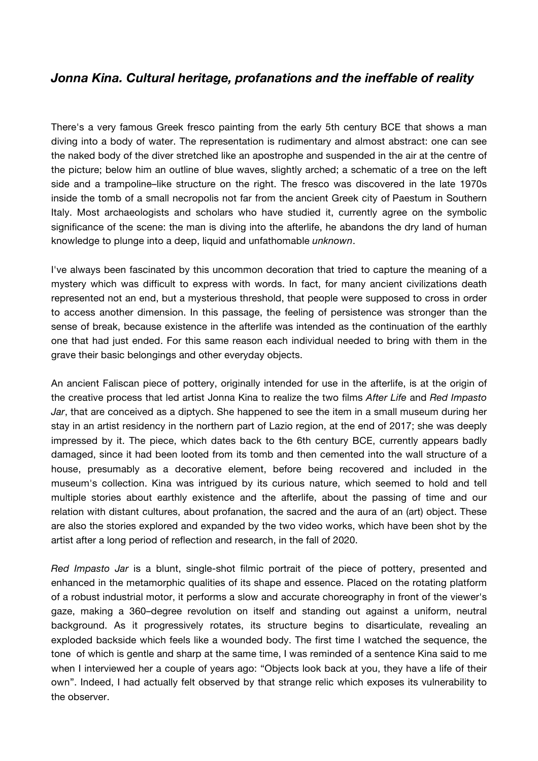## *Jonna Kina. Cultural heritage, profanations and the ineffable of reality*

There's a very famous Greek fresco painting from the early 5th century BCE that shows a man diving into a body of water. The representation is rudimentary and almost abstract: one can see the naked body of the diver stretched like an apostrophe and suspended in the air at the centre of the picture; below him an outline of blue waves, slightly arched; a schematic of a tree on the left side and a trampoline–like structure on the right. The fresco was discovered in the late 1970s inside the tomb of a small necropolis not far from the ancient Greek city of Paestum in Southern Italy. Most archaeologists and scholars who have studied it, currently agree on the symbolic significance of the scene: the man is diving into the afterlife, he abandons the dry land of human knowledge to plunge into a deep, liquid and unfathomable *unknown*.

I've always been fascinated by this uncommon decoration that tried to capture the meaning of a mystery which was difficult to express with words. In fact, for many ancient civilizations death represented not an end, but a mysterious threshold, that people were supposed to cross in order to access another dimension. In this passage, the feeling of persistence was stronger than the sense of break, because existence in the afterlife was intended as the continuation of the earthly one that had just ended. For this same reason each individual needed to bring with them in the grave their basic belongings and other everyday objects.

An ancient Faliscan piece of pottery, originally intended for use in the afterlife, is at the origin of the creative process that led artist Jonna Kina to realize the two films *After Life* and *Red Impasto Jar*, that are conceived as a diptych. She happened to see the item in a small museum during her stay in an artist residency in the northern part of Lazio region, at the end of 2017; she was deeply impressed by it. The piece, which dates back to the 6th century BCE, currently appears badly damaged, since it had been looted from its tomb and then cemented into the wall structure of a house, presumably as a decorative element, before being recovered and included in the museum's collection. Kina was intrigued by its curious nature, which seemed to hold and tell multiple stories about earthly existence and the afterlife, about the passing of time and our relation with distant cultures, about profanation, the sacred and the aura of an (art) object. These are also the stories explored and expanded by the two video works, which have been shot by the artist after a long period of reflection and research, in the fall of 2020.

*Red Impasto Jar* is a blunt, single-shot filmic portrait of the piece of pottery, presented and enhanced in the metamorphic qualities of its shape and essence. Placed on the rotating platform of a robust industrial motor, it performs a slow and accurate choreography in front of the viewer's gaze, making a 360–degree revolution on itself and standing out against a uniform, neutral background. As it progressively rotates, its structure begins to disarticulate, revealing an exploded backside which feels like a wounded body. The first time I watched the sequence, the tone of which is gentle and sharp at the same time, I was reminded of a sentence Kina said to me when I interviewed her a couple of years ago: "Objects look back at you, they have a life of their own". Indeed, I had actually felt observed by that strange relic which exposes its vulnerability to the observer.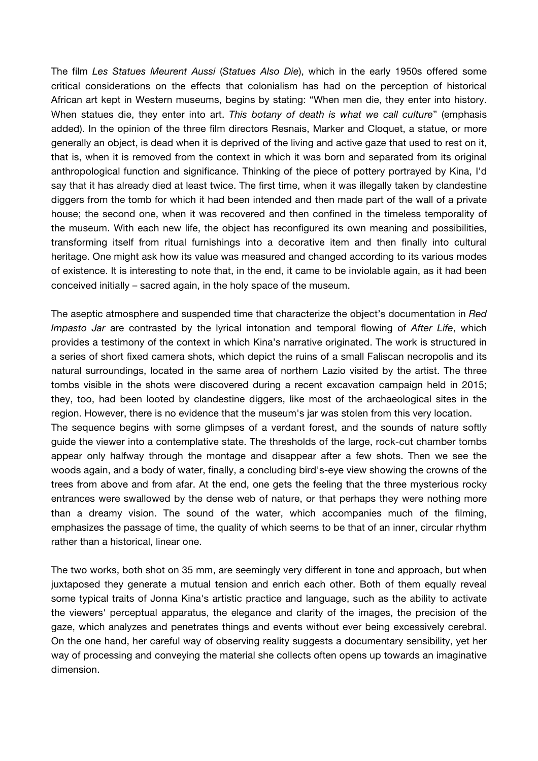The film *Les Statues Meurent Aussi* (*Statues Also Die*), which in the early 1950s offered some critical considerations on the effects that colonialism has had on the perception of historical African art kept in Western museums, begins by stating: "When men die, they enter into history. When statues die, they enter into art. *This botany of death is what we call culture*" (emphasis added). In the opinion of the three film directors Resnais, Marker and Cloquet, a statue, or more generally an object, is dead when it is deprived of the living and active gaze that used to rest on it, that is, when it is removed from the context in which it was born and separated from its original anthropological function and significance. Thinking of the piece of pottery portrayed by Kina, I'd say that it has already died at least twice. The first time, when it was illegally taken by clandestine diggers from the tomb for which it had been intended and then made part of the wall of a private house; the second one, when it was recovered and then confined in the timeless temporality of the museum. With each new life, the object has reconfigured its own meaning and possibilities, transforming itself from ritual furnishings into a decorative item and then finally into cultural heritage. One might ask how its value was measured and changed according to its various modes of existence. It is interesting to note that, in the end, it came to be inviolable again, as it had been conceived initially – sacred again, in the holy space of the museum.

The aseptic atmosphere and suspended time that characterize the object's documentation in *Red Impasto Jar* are contrasted by the lyrical intonation and temporal flowing of *After Life*, which provides a testimony of the context in which Kina's narrative originated. The work is structured in a series of short fixed camera shots, which depict the ruins of a small Faliscan necropolis and its natural surroundings, located in the same area of northern Lazio visited by the artist. The three tombs visible in the shots were discovered during a recent excavation campaign held in 2015; they, too, had been looted by clandestine diggers, like most of the archaeological sites in the region. However, there is no evidence that the museum's jar was stolen from this very location. The sequence begins with some glimpses of a verdant forest, and the sounds of nature softly guide the viewer into a contemplative state. The thresholds of the large, rock-cut chamber tombs appear only halfway through the montage and disappear after a few shots. Then we see the woods again, and a body of water, finally, a concluding bird's-eye view showing the crowns of the trees from above and from afar. At the end, one gets the feeling that the three mysterious rocky entrances were swallowed by the dense web of nature, or that perhaps they were nothing more

than a dreamy vision. The sound of the water, which accompanies much of the filming, emphasizes the passage of time, the quality of which seems to be that of an inner, circular rhythm rather than a historical, linear one.

The two works, both shot on 35 mm, are seemingly very different in tone and approach, but when juxtaposed they generate a mutual tension and enrich each other. Both of them equally reveal some typical traits of Jonna Kina's artistic practice and language, such as the ability to activate the viewers' perceptual apparatus, the elegance and clarity of the images, the precision of the gaze, which analyzes and penetrates things and events without ever being excessively cerebral. On the one hand, her careful way of observing reality suggests a documentary sensibility, yet her way of processing and conveying the material she collects often opens up towards an imaginative dimension.